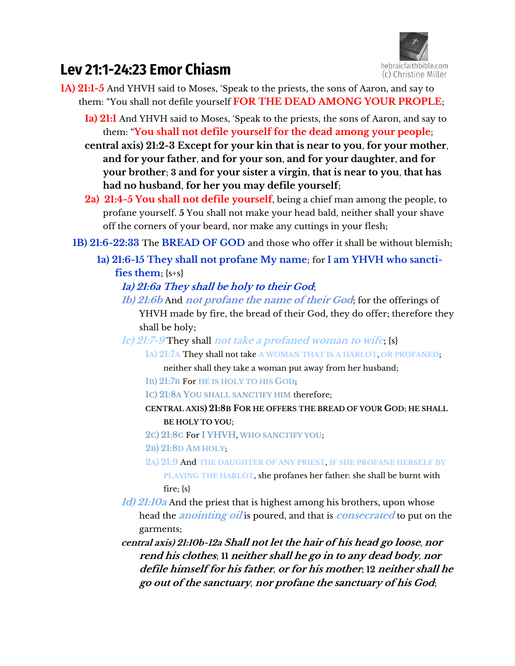

# **Lev 21:1-24:23 Emor Chiasm**

- **1A) 21:1-5** And YHVH said to Moses, 'Speak to the priests, the sons of Aaron, and say to them: "You shall not defile yourself **FOR THE DEAD AMONG YOUR PROPLE**;
	- **1a) 21:1** And YHVH said to Moses, 'Speak to the priests, the sons of Aaron, and say to them: "**You shall not defile yourself for the dead among your people**;
	- **central axis) 21:2-3 Except for your kin that is near to you**, **for your mother**, **and for your father**, **and for your son**, **and for your daughter**, **and for your brother**; **3 and for your sister a virgin**, **that is near to you**, **that has had no husband**, **for her you may defile yourself**;
	- **2a) 21:4-5 You shall not defile yourself**, being a chief man among the people, to profane yourself. **5** You shall not make your head bald, neither shall your shave off the corners of your beard, nor make any cuttings in your flesh;
	- **1B) 21:6-22:33** The **BREAD OF GOD** and those who offer it shall be without blemish;
		- **1a) 21:6-15 They shall not profane My name**; for **I am YHVH who sanctifies them**; {s+s}

## **1a) 21:6a They shall be holy to their God**;

- **1b) 21:6b** And **not profane the name of their God**; for the offerings of YHVH made by fire, the bread of their God, they do offer; therefore they shall be holy;
- **1c) 21:7-9** They shall **not take a profaned woman to wife**; {s}
	- **1A) 21:7A** They shall not take **A WOMAN THAT IS A HARLOT**, **OR PROFANED**;
		- neither shall they take a woman put away from her husband;
	- **1B) 21:7B** For **HE IS HOLY TO HIS GOD**;
	- **1C) 21:8A YOU SHALL SANCTIFY HIM** therefore;
	- **CENTRAL AXIS) 21:8B FOR HE OFFERS THE BREAD OF YOUR GOD**; **HE SHALL BE HOLY TO YOU**;
	- **2C) 21:8C** For **I YHVH**, **WHO SANCTIFY YOU**;
	- **2B) 21:8D AM HOLY**;
	- **2A) 21:9** And **THE DAUGHTER OF ANY PRIEST**, **IF SHE PROFANE HERSELF BY PLAYING THE HARLOT**, she profanes her father: she shall be burnt with fire; {s}
- **1d) 21:10a** And the priest that is highest among his brothers, upon whose head the **anointing oil** is poured, and that is **consecrated** to put on the garments;
- **central axis) 21:10b-12a Shall not let the hair of his head go loose**, **nor rend his clothes**; **11 neither shall he go in to any dead body**, **nor defile himself for his father**, **or for his mother**; **12 neither shall he go out of the sanctuary**, **nor profane the sanctuary of his God**;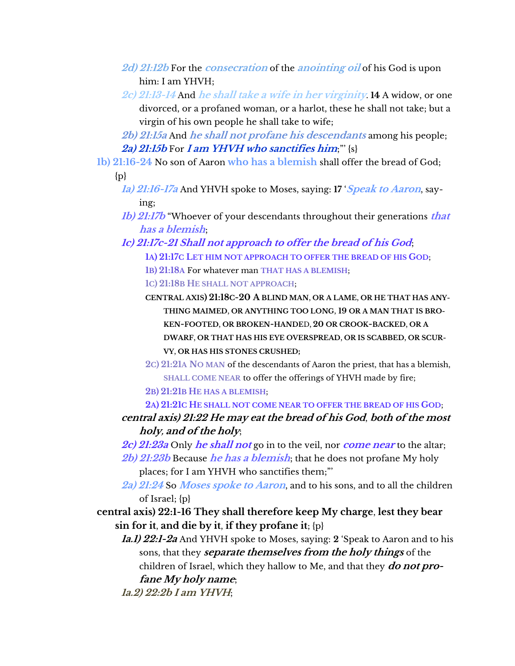- **2d) 21:12b** For the **consecration** of the **anointing oil** of his God is upon him: I am YHVH;
- **2c) 21:13-14** And **he shall take a wife in her virginity**. **14** A widow, or one divorced, or a profaned woman, or a harlot, these he shall not take; but a virgin of his own people he shall take to wife;

**2b) 21:15a** And **he shall not profane his descendants** among his people; **2a) 21:15b** For **I am YHVH who sanctifies him**;"' {s}

**1b) 21:16-24** No son of Aaron **who has a blemish** shall offer the bread of God;

{p}

- **1a) 21:16-17a** And YHVH spoke to Moses, saying: **17** '**Speak to Aaron**, saying;
- **1b) 21:17b** "Whoever of your descendants throughout their generations **that has a blemish**;
- **1c) 21:17c-21 Shall not approach to offer the bread of his God**; **1A) 21:17C LET HIM NOT APPROACH TO OFFER THE BREAD OF HIS GOD**; **1B) 21:18A** For whatever man **THAT HAS A BLEMISH**;

**1C) 21:18B HE SHALL NOT APPROACH**;

- **CENTRAL AXIS) 21:18C-20 A BLIND MAN**, **OR A LAME**, **OR HE THAT HAS ANY-THING MAIMED**, **OR ANYTHING TOO LONG**, **19 OR A MAN THAT IS BRO-KEN-FOOTED**, **OR BROKEN-HANDE**D, **20 OR CROOK-BACKED**, **OR A DWARF**, **OR THAT HAS HIS EYE OVERSPREAD**, **OR IS SCABBED**, **OR SCUR-VY**, **OR HAS HIS STONES CRUSHED;**
- **2C) 21:21A NO MAN** of the descendants of Aaron the priest, that has a blemish, **SHALL COME NEAR** to offer the offerings of YHVH made by fire;
- **2B) 21:21B HE HAS A BLEMISH**;
- **2A) 21:21C HE SHALL NOT COME NEAR TO OFFER THE BREAD OF HIS GOD**;
- **central axis) 21:22 He may eat the bread of his God**, **both of the most holy, and of the holy**;
- **2c) 21:23a** Only **he shall not** go in to the veil, nor **come near** to the altar;
- **2b) 21:23b** Because **he has a blemish**; that he does not profane My holy places; for I am YHVH who sanctifies them;"'
- **2a) 21:24** So **Moses spoke to Aaron**, and to his sons, and to all the children of Israel; {p}
- **central axis) 22:1-16 They shall therefore keep My charge**, **lest they bear sin for it**, **and die by it**, **if they profane it**; {p}
	- **1a.1) 22:1-2a** And YHVH spoke to Moses, saying: **2** 'Speak to Aaron and to his sons, that they **separate themselves from the holy things** of the children of Israel, which they hallow to Me, and that they **do not profane My holy name**; **1a.2) 22:2b I am YHVH**;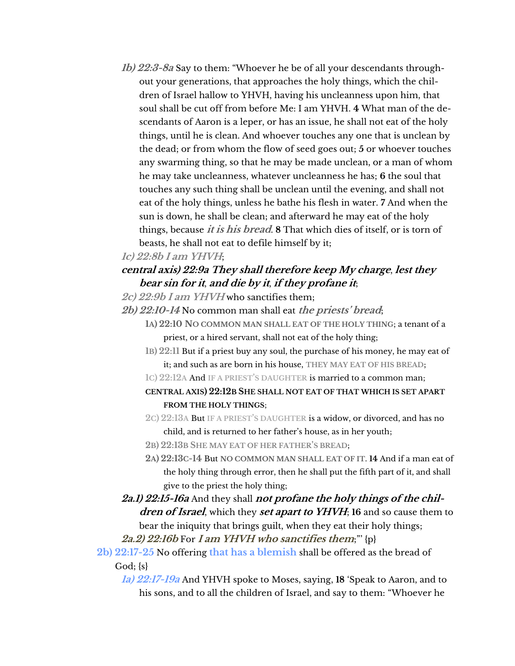**1b) 22:3-8a** Say to them: "Whoever he be of all your descendants throughout your generations, that approaches the holy things, which the children of Israel hallow to YHVH, having his uncleanness upon him, that soul shall be cut off from before Me: I am YHVH. **4** What man of the descendants of Aaron is a leper, or has an issue, he shall not eat of the holy things, until he is clean. And whoever touches any one that is unclean by the dead; or from whom the flow of seed goes out; **5** or whoever touches any swarming thing, so that he may be made unclean, or a man of whom he may take uncleanness, whatever uncleanness he has; **6** the soul that touches any such thing shall be unclean until the evening, and shall not eat of the holy things, unless he bathe his flesh in water. **7** And when the sun is down, he shall be clean; and afterward he may eat of the holy things, because **it is his bread**. **8** That which dies of itself, or is torn of beasts, he shall not eat to defile himself by it;

#### **1c) 22:8b I am YHVH**;

## **central axis) 22:9a They shall therefore keep My charge**, **lest they bear sin for it**, **and die by it**, **if they profane it**;

- **2c) 22:9b I am YHVH** who sanctifies them;
- **2b) 22:10-14** No common man shall eat **the priests' bread**;
	- **1A) 22:10 NO COMMON MAN SHALL EAT OF THE HOLY THING**; a tenant of a priest, or a hired servant, shall not eat of the holy thing;
	- **1B) 22:11** But if a priest buy any soul, the purchase of his money, he may eat of it; and such as are born in his house, **THEY MAY EAT OF HIS BREAD**;
	- **1C) 22:12A** And **IF A PRIEST'S DAUGHTER** is married to a common man;
	- **CENTRAL AXIS) 22:12B SHE SHALL NOT EAT OF THAT WHICH IS SET APART FROM THE HOLY THINGS**;
	- **2C) 22:13A** But **IF A PRIEST'S DAUGHTER** is a widow, or divorced, and has no child, and is returned to her father's house, as in her youth;
	- **2B) 22:13B SHE MAY EAT OF HER FATHER'S BREAD**;
	- **2A) 22:13C-14** But **NO COMMON MAN SHALL EAT OF IT**. **14** And if a man eat of the holy thing through error, then he shall put the fifth part of it, and shall give to the priest the holy thing;
- **2a.1) 22:15-16a** And they shall **not profane the holy things of the children of Israel**, which they **set apart to YHVH**; **16** and so cause them to bear the iniquity that brings guilt, when they eat their holy things;

**2a.2) 22:16b** For **I am YHVH who sanctifies them**;"' {p}

- **2b) 22:17-25** No offering **that has a blemish** shall be offered as the bread of  $God; \{s\}$ 
	- **1a) 22:17-19a** And YHVH spoke to Moses, saying, **18** 'Speak to Aaron, and to his sons, and to all the children of Israel, and say to them: "Whoever he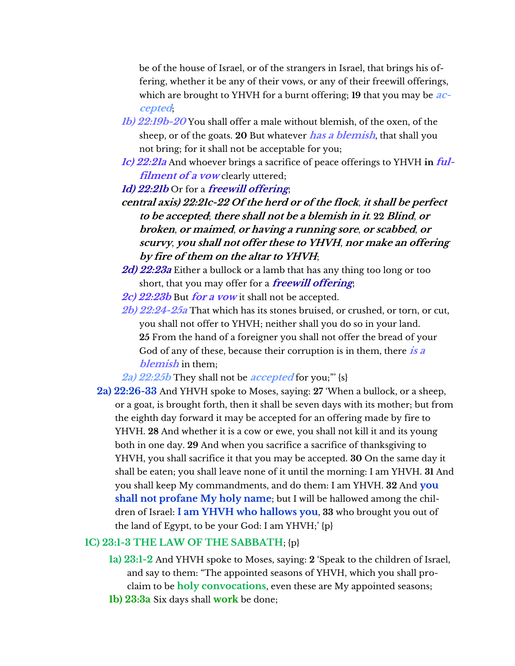be of the house of Israel, or of the strangers in Israel, that brings his offering, whether it be any of their vows, or any of their freewill offerings, which are brought to YHVH for a burnt offering; **19** that you may be **accepted**;

- **1b) 22:19b-20** You shall offer a male without blemish, of the oxen, of the sheep, or of the goats. **20** But whatever **has a blemish**, that shall you not bring; for it shall not be acceptable for you;
- **1c) 22:21a** And whoever brings a sacrifice of peace offerings to YHVH **in ful***filment of a vow* **clearly uttered;**

**1d) 22:21b** Or for a **freewill offering**;

- **central axis) 22:21c-22 Of the herd or of the flock**, **it shall be perfect to be accepted**; **there shall not be a blemish in it**. **22 Blind**, **or broken**, **or maimed**, **or having a running sore**, **or scabbed**, **or scurvy**, **you shall not offer these to YHVH**, **nor make an offering by fire of them on the altar to YHVH**;
- **2d) 22:23a** Either a bullock or a lamb that has any thing too long or too short, that you may offer for a **freewill offering**;
- **2c) 22:23b** But **for a vow** it shall not be accepted.
- **2b) 22:24-25a** That which has its stones bruised, or crushed, or torn, or cut, you shall not offer to YHVH; neither shall you do so in your land. **25** From the hand of a foreigner you shall not offer the bread of your God of any of these, because their corruption is in them, there **is a blemish** in them;

**2a) 22:25b** They shall not be **accepted** for you;"' {s}

**2a) 22:26-33** And YHVH spoke to Moses, saying: **27** 'When a bullock, or a sheep, or a goat, is brought forth, then it shall be seven days with its mother; but from the eighth day forward it may be accepted for an offering made by fire to YHVH. **28** And whether it is a cow or ewe, you shall not kill it and its young both in one day. **29** And when you sacrifice a sacrifice of thanksgiving to YHVH, you shall sacrifice it that you may be accepted. **30** On the same day it shall be eaten; you shall leave none of it until the morning: I am YHVH. **31** And you shall keep My commandments, and do them: I am YHVH. **32** And **you shall not profane My holy name**; but I will be hallowed among the children of Israel: **I am YHVH who hallows you**, **33** who brought you out of the land of Egypt, to be your God: I am YHVH;' {p}

#### **1C) 23:1-3 THE LAW OF THE SABBATH**; {p}

- **1a) 23:1-2** And YHVH spoke to Moses, saying: **2** 'Speak to the children of Israel, and say to them: "The appointed seasons of YHVH, which you shall proclaim to be **holy convocations**, even these are My appointed seasons;
- **1b) 23:3a** Six days shall **work** be done;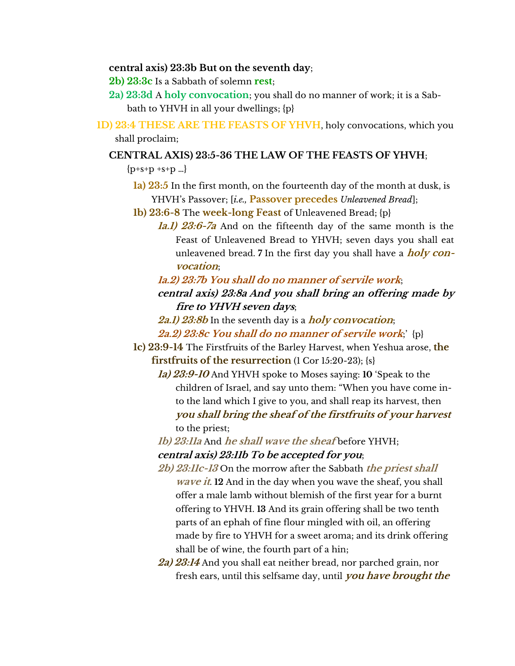#### **central axis) 23:3b But on the seventh day**;

**2b) 23:3c** Is a Sabbath of solemn **rest**;

- **2a) 23:3d** A **holy convocation**; you shall do no manner of work; it is a Sabbath to YHVH in all your dwellings; {p}
- **1D) 23:4 THESE ARE THE FEASTS OF YHVH**, holy convocations, which you shall proclaim;

#### **CENTRAL AXIS) 23:5-36 THE LAW OF THE FEASTS OF YHVH**;

 ${p+s+p +s+p ...}$ 

- **1a) 23:5** In the first month, on the fourteenth day of the month at dusk, is YHVH's Passover; [*i.e.,* **Passover precedes** *Unleavened Bread*];
- **1b) 23:6-8** The **week-long Feast** of Unleavened Bread; {p}
	- **1a.1) 23:6-7a** And on the fifteenth day of the same month is the Feast of Unleavened Bread to YHVH; seven days you shall eat unleavened bread. **7** In the first day you shall have a **holy convocation**;
	- **1a.2) 23:7b You shall do no manner of servile work**;
	- **central axis) 23:8a And you shall bring an offering made by fire to YHVH seven days**;
	- **2a.1) 23:8b** In the seventh day is a **holy convocation**;
	- **2a.2) 23:8c You shall do no manner of servile work**;' {p}
- **1c) 23:9-14** The Firstfruits of the Barley Harvest, when Yeshua arose, **the firstfruits of the resurrection** (1 Cor 15:20-23); {s}
	- **1a) 23:9-10** And YHVH spoke to Moses saying: **10** 'Speak to the children of Israel, and say unto them: "When you have come into the land which I give to you, and shall reap its harvest, then **you shall bring the sheaf of the firstfruits of your harvest** to the priest;
	- **1b) 23:11a** And **he shall wave the sheaf** before YHVH;
	- **central axis) 23:11b To be accepted for you**;
	- **2b) 23:11c-13** On the morrow after the Sabbath **the priest shall wave it**. **12** And in the day when you wave the sheaf, you shall offer a male lamb without blemish of the first year for a burnt offering to YHVH. **13** And its grain offering shall be two tenth parts of an ephah of fine flour mingled with oil, an offering made by fire to YHVH for a sweet aroma; and its drink offering shall be of wine, the fourth part of a hin;
	- **2a) 23:14** And you shall eat neither bread, nor parched grain, nor fresh ears, until this selfsame day, until **you have brought the**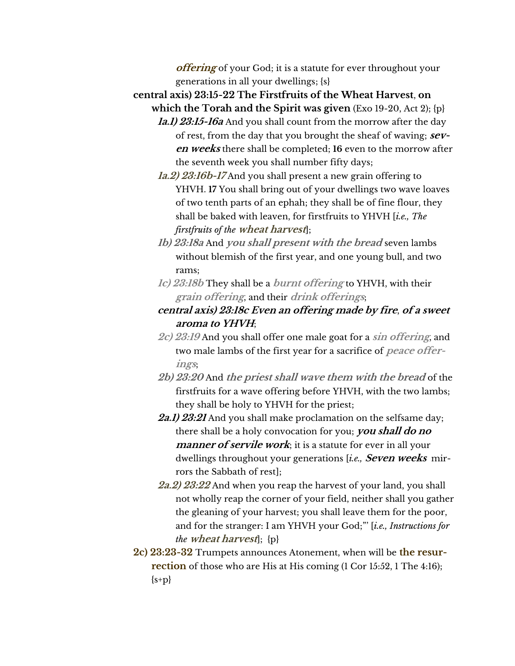**offering** of your God; it is a statute for ever throughout your generations in all your dwellings; {s}

**central axis) 23:15-22 The Firstfruits of the Wheat Harvest**, **on which the Torah and the Spirit was given** (Exo 19-20, Act 2); {p}

- **1a.1) 23:15-16a** And you shall count from the morrow after the day of rest, from the day that you brought the sheaf of waving; **seven weeks** there shall be completed; **16** even to the morrow after the seventh week you shall number fifty days;
- **1a.2) 23:16b-17** And you shall present a new grain offering to YHVH. **17** You shall bring out of your dwellings two wave loaves of two tenth parts of an ephah; they shall be of fine flour, they shall be baked with leaven, for firstfruits to YHVH [*i.e., The firstfruits of the* **wheat harvest**];
- **1b) 23:18a** And **you shall present with the bread** seven lambs without blemish of the first year, and one young bull, and two rams;
- **1c) 23:18b** They shall be a **burnt offering** to YHVH, with their **grain offering**, and their **drink offerings**;
- **central axis) 23:18c Even an offering made by fire**, **of a sweet aroma to YHVH**;
- **2c) 23:19** And you shall offer one male goat for a **sin offering**, and two male lambs of the first year for a sacrifice of **peace offerings**;
- **2b) 23:20** And **the priest shall wave them with the bread** of the firstfruits for a wave offering before YHVH, with the two lambs; they shall be holy to YHVH for the priest;
- **2a.1) 23:21** And you shall make proclamation on the selfsame day; there shall be a holy convocation for you; **you shall do no manner of servile work**; it is a statute for ever in all your dwellings throughout your generations [*i.e.,* **Seven weeks** mirrors the Sabbath of rest];
- **2a.2) 23:22** And when you reap the harvest of your land, you shall not wholly reap the corner of your field, neither shall you gather the gleaning of your harvest; you shall leave them for the poor, and for the stranger: I am YHVH your God;"' [*i.e., Instructions for the* **wheat harvest**]; {p}
- **2c) 23:23-32** Trumpets announces Atonement, when will be **the resurrection** of those who are His at His coming (1 Cor 15:52, 1 The 4:16);  ${s+p}$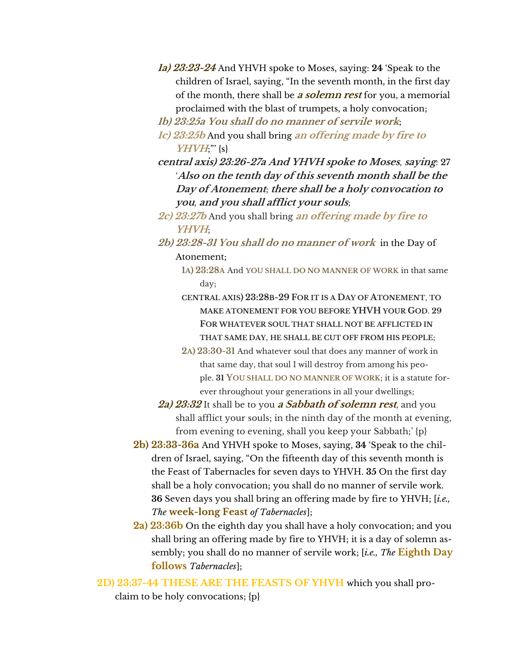- **1a) 23:23-24** And YHVH spoke to Moses, saying: **24** 'Speak to the children of Israel, saying, "In the seventh month, in the first day of the month, there shall be **a solemn rest** for you, a memorial proclaimed with the blast of trumpets, a holy convocation;
- **1b) 23:25a You shall do no manner of servile work**;
- **1c) 23:25b** And you shall bring **an offering made by fire to YHVH**;"' {s}
- **central axis) 23:26-27a And YHVH spoke to Moses**, **saying**: **27**  '**Also on the tenth day of this seventh month shall be the Day of Atonement**; **there shall be a holy convocation to you**, **and you shall afflict your souls**;
- **2c) 23:27b** And you shall bring **an offering made by fire to YHVH**;
- **2b) 23:28-31 You shall do no manner of work** in the Day of Atonement;
	- **1A) 23:28A** And **YOU SHALL DO NO MANNER OF WORK** in that same day;
	- **CENTRAL AXIS) 23:28B-29 FOR IT IS A DAY OF ATONEMENT**, **TO MAKE ATONEMENT FOR YOU BEFORE YHVH YOUR GOD**. **29 FOR WHATEVER SOUL THAT SHALL NOT BE AFFLICTED IN THAT SAME DAY**, **HE SHALL BE CUT OFF FROM HIS PEOPLE**;
	- **2A) 23:30-31** And whatever soul that does any manner of work in that same day, that soul I will destroy from among his people. **31 YOU SHALL DO NO MANNER OF WORK**; it is a statute forever throughout your generations in all your dwellings;
- **2a) 23:32** It shall be to you **a Sabbath of solemn rest**, and you shall afflict your souls; in the ninth day of the month at evening, from evening to evening, shall you keep your Sabbath;' {p}
- **2b) 23:33-36a** And YHVH spoke to Moses, saying, **34** 'Speak to the children of Israel, saying, "On the fifteenth day of this seventh month is the Feast of Tabernacles for seven days to YHVH. **35** On the first day shall be a holy convocation; you shall do no manner of servile work. **36** Seven days you shall bring an offering made by fire to YHVH; [*i.e., The* **week-long Feast** *of Tabernacles*];
- **2a) 23:36b** On the eighth day you shall have a holy convocation; and you shall bring an offering made by fire to YHVH; it is a day of solemn assembly; you shall do no manner of servile work; [*i.e., The* **Eighth Day follows** *Tabernacles*];
- **2D) 23:37-44 THESE ARE THE FEASTS OF YHVH** which you shall pro-

claim to be holy convocations; {p}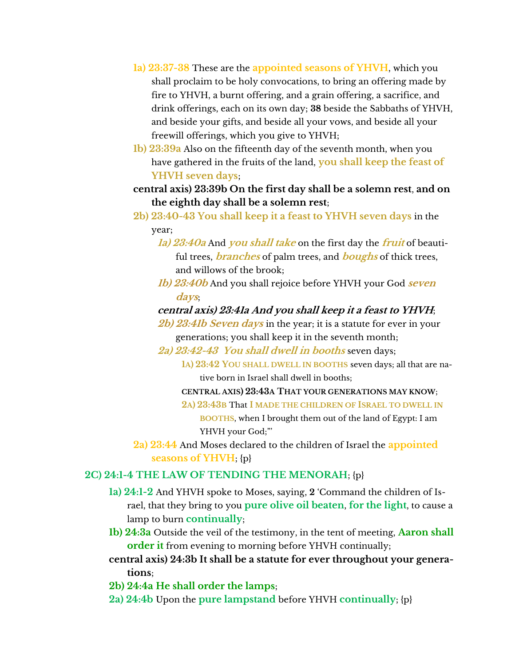- **1a) 23:37-38** These are the **appointed seasons of YHVH**, which you shall proclaim to be holy convocations, to bring an offering made by fire to YHVH, a burnt offering, and a grain offering, a sacrifice, and drink offerings, each on its own day; **38** beside the Sabbaths of YHVH, and beside your gifts, and beside all your vows, and beside all your freewill offerings, which you give to YHVH;
- **1b) 23:39a** Also on the fifteenth day of the seventh month, when you have gathered in the fruits of the land, **you shall keep the feast of YHVH seven days**;
- **central axis) 23:39b On the first day shall be a solemn rest**, **and on the eighth day shall be a solemn rest**;
- **2b) 23:40-43 You shall keep it a feast to YHVH seven days** in the year;
	- **1a) 23:40a** And **you shall take** on the first day the **fruit** of beautiful trees, **branches** of palm trees, and **boughs** of thick trees, and willows of the brook;
	- **1b) 23:40b** And you shall rejoice before YHVH your God **seven days**;

## **central axis) 23:41a And you shall keep it a feast to YHVH**;

**2b) 23:41b Seven days** in the year; it is a statute for ever in your generations; you shall keep it in the seventh month;

- **2a) 23:42-43 You shall dwell in booths** seven days;
	- **1A) 23:42 YOU SHALL DWELL IN BOOTHS** seven days; all that are na-

tive born in Israel shall dwell in booths;

- **CENTRAL AXIS) 23:43A THAT YOUR GENERATIONS MAY KNOW**;
- **2A) 23:43B** That **I MADE THE CHILDREN OF ISRAEL TO DWELL IN**

**BOOTHS**, when I brought them out of the land of Egypt: I am YHVH your God;"'

**2a) 23:44** And Moses declared to the children of Israel the **appointed seasons of YHVH**; {p}

## **2C) 24:1-4 THE LAW OF TENDING THE MENORAH**; {p}

- **1a) 24:1-2** And YHVH spoke to Moses, saying, **2** 'Command the children of Israel, that they bring to you **pure olive oil beaten**, **for the light**, to cause a lamp to burn **continually**;
- **1b) 24:3a** Outside the veil of the testimony, in the tent of meeting, **Aaron shall order it** from evening to morning before YHVH continually;
- **central axis) 24:3b It shall be a statute for ever throughout your generations**;
- **2b) 24:4a He shall order the lamps**;
- **2a) 24:4b** Upon the **pure lampstand** before YHVH **continually**; {p}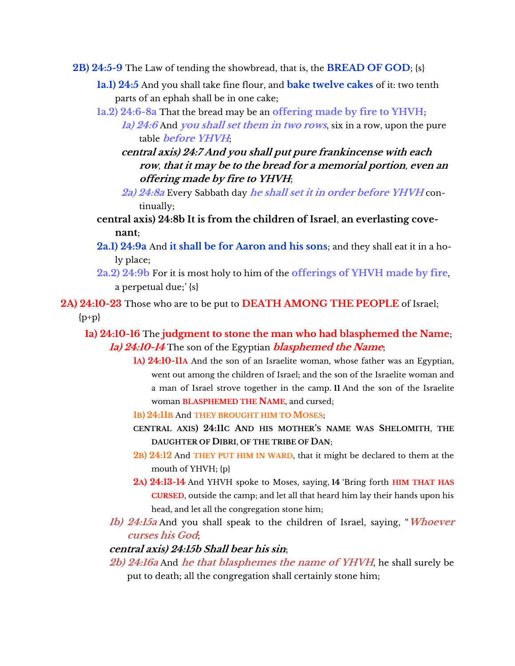- **2B) 24:5-9** The Law of tending the showbread, that is, the **BREAD OF GOD**; {s}
	- **1a.1) 24:5** And you shall take fine flour, and **bake twelve cakes** of it: two tenth parts of an ephah shall be in one cake;
	- **1a.2) 24:6-8a** That the bread may be an **offering made by fire to YHVH**;
		- **1a) 24:6** And **you shall set them in two rows**, six in a row, upon the pure table **before YHVH**;
		- **central axis) 24:7 And you shall put pure frankincense with each row**, **that it may be to the bread for a memorial portion**, **even an offering made by fire to YHVH**;
		- **2a) 24:8a** Every Sabbath day **he shall set it in order before YHVH** continually;
	- **central axis) 24:8b It is from the children of Israel**, **an everlasting covenant**;
	- **2a.1) 24:9a** And **it shall be for Aaron and his sons**; and they shall eat it in a holy place;
	- **2a.2) 24:9b** For it is most holy to him of the **offerings of YHVH made by fire**, a perpetual due;' {s}

**2A) 24:10-23** Those who are to be put to **DEATH AMONG THE PEOPLE** of Israel;

 $\{p+p\}$ 

**1a) 24:10-16** The **judgment to stone the man who had blasphemed the Name**; **1a) 24:10-14** The son of the Egyptian **blasphemed the Name**;

- **1A) 24:10-11A** And the son of an Israelite woman, whose father was an Egyptian, went out among the children of Israel; and the son of the Israelite woman and a man of Israel strove together in the camp. **11** And the son of the Israelite woman **BLASPHEMED THE NAME**, and cursed;
- **1B) 24:11B** And **THEY BROUGHT HIM TO MOSES**;
- **CENTRAL AXIS) 24:11C AND HIS MOTHER'S NAME WAS SHELOMITH**, **THE DAUGHTER OF DIBRI**, **OF THE TRIBE OF DAN**;
- **2B) 24:12** And **THEY PUT HIM IN WARD**, that it might be declared to them at the mouth of YHVH; {p}
- **2A) 24:13-14** And YHVH spoke to Moses, saying, **14** 'Bring forth **HIM THAT HAS CURSED**, outside the camp; and let all that heard him lay their hands upon his head, and let all the congregation stone him;
- **1b) 24:15a** And you shall speak to the children of Israel, saying, "**Whoever curses his God**;

### **central axis) 24:15b Shall bear his sin**;

**2b) 24:16a** And **he that blasphemes the name of YHVH**, he shall surely be put to death; all the congregation shall certainly stone him;